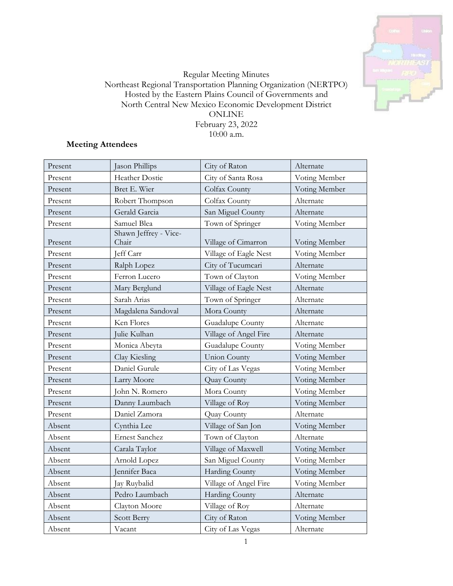

## Regular Meeting Minutes Northeast Regional Transportation Planning Organization (NERTPO) Hosted by the Eastern Plains Council of Governments and North Central New Mexico Economic Development District ONLINE February 23, 2022 10:00 a.m.

# **Meeting Attendees**

| Present | Jason Phillips                 | City of Raton         | Alternate     |
|---------|--------------------------------|-----------------------|---------------|
| Present | Heather Dostie                 | City of Santa Rosa    | Voting Member |
| Present | Bret E. Wier                   | Colfax County         | Voting Member |
| Present | Robert Thompson                | Colfax County         | Alternate     |
| Present | Gerald Garcia                  | San Miguel County     | Alternate     |
| Present | Samuel Blea                    | Town of Springer      | Voting Member |
| Present | Shawn Jeffrey - Vice-<br>Chair | Village of Cimarron   | Voting Member |
| Present | Jeff Carr                      | Village of Eagle Nest | Voting Member |
| Present | Ralph Lopez                    | City of Tucumcari     | Alternate     |
| Present | Ferron Lucero                  | Town of Clayton       | Voting Member |
| Present | Mary Berglund                  | Village of Eagle Nest | Alternate     |
| Present | Sarah Arias                    | Town of Springer      | Alternate     |
| Present | Magdalena Sandoval             | Mora County           | Alternate     |
| Present | Ken Flores                     | Guadalupe County      | Alternate     |
| Present | Julie Kulhan                   | Village of Angel Fire | Alternate     |
| Present | Monica Abeyta                  | Guadalupe County      | Voting Member |
| Present | Clay Kiesling                  | <b>Union County</b>   | Voting Member |
| Present | Daniel Gurule                  | City of Las Vegas     | Voting Member |
| Present | Larry Moore                    | Quay County           | Voting Member |
| Present | John N. Romero                 | Mora County           | Voting Member |
| Present | Danny Laumbach                 | Village of Roy        | Voting Member |
| Present | Daniel Zamora                  | Quay County           | Alternate     |
| Absent  | Cynthia Lee                    | Village of San Jon    | Voting Member |
| Absent  | <b>Ernest Sanchez</b>          | Town of Clayton       | Alternate     |
| Absent  | Carala Taylor                  | Village of Maxwell    | Voting Member |
| Absent  | Arnold Lopez                   | San Miguel County     | Voting Member |
| Absent  | Jennifer Baca                  | <b>Harding County</b> | Voting Member |
| Absent  | Jay Ruybalid                   | Village of Angel Fire | Voting Member |
| Absent  | Pedro Laumbach                 | Harding County        | Alternate     |
| Absent  | Clayton Moore                  | Village of Roy        | Alternate     |
| Absent  | Scott Berry                    | City of Raton         | Voting Member |
| Absent  | Vacant                         | City of Las Vegas     | Alternate     |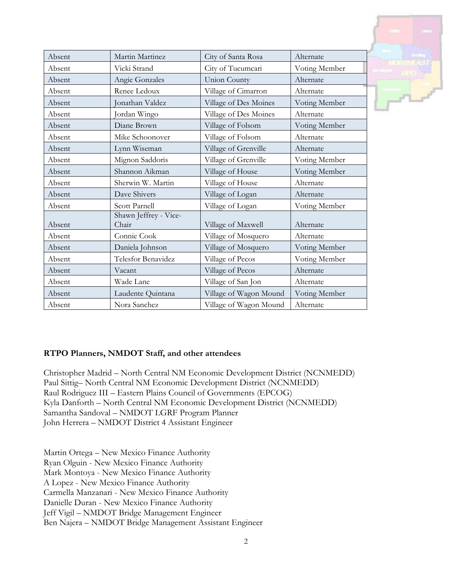| Absent | Martin Martinez                | City of Santa Rosa     | Alternate     |
|--------|--------------------------------|------------------------|---------------|
| Absent | Vicki Strand                   | City of Tucumcari      | Voting Member |
| Absent | Angie Gonzales                 | Union County           | Alternate     |
| Absent | Renee Ledoux                   | Village of Cimarron    | Alternate     |
| Absent | Jonathan Valdez                | Village of Des Moines  | Voting Member |
| Absent | Jordan Wingo                   | Village of Des Moines  | Alternate     |
| Absent | Diane Brown                    | Village of Folsom      | Voting Member |
| Absent | Mike Schoonover                | Village of Folsom      | Alternate     |
| Absent | Lynn Wiseman                   | Village of Grenville   | Alternate     |
| Absent | Mignon Saddoris                | Village of Grenville   | Voting Member |
| Absent | Shannon Aikman                 | Village of House       | Voting Member |
| Absent | Sherwin W. Martin              | Village of House       | Alternate     |
| Absent | Dave Shivers                   | Village of Logan       | Alternate     |
| Absent | Scott Parnell                  | Village of Logan       | Voting Member |
| Absent | Shawn Jeffrey - Vice-<br>Chair | Village of Maxwell     | Alternate     |
| Absent | Connie Cook                    | Village of Mosquero    | Alternate     |
| Absent | Daniela Johnson                | Village of Mosquero    | Voting Member |
| Absent | Telesfor Benavidez             | Village of Pecos       | Voting Member |
| Absent | Vacant                         | Village of Pecos       | Alternate     |
| Absent | Wade Lane                      | Village of San Jon     | Alternate     |
| Absent | Laudente Quintana              | Village of Wagon Mound | Voting Member |
| Absent | Nora Sanchez                   | Village of Wagon Mound | Alternate     |



Christopher Madrid – North Central NM Economic Development District (NCNMEDD) Paul Sittig– North Central NM Economic Development District (NCNMEDD) Raul Rodriguez III – Eastern Plains Council of Governments (EPCOG) Kyla Danforth – North Central NM Economic Development District (NCNMEDD) Samantha Sandoval – NMDOT LGRF Program Planner John Herrera – NMDOT District 4 Assistant Engineer

Martin Ortega – New Mexico Finance Authority Ryan Olguin - New Mexico Finance Authority Mark Montoya - New Mexico Finance Authority A Lopez - New Mexico Finance Authority Carmella Manzanari - New Mexico Finance Authority Danielle Duran - New Mexico Finance Authority Jeff Vigil – NMDOT Bridge Management Engineer Ben Najera – NMDOT Bridge Management Assistant Engineer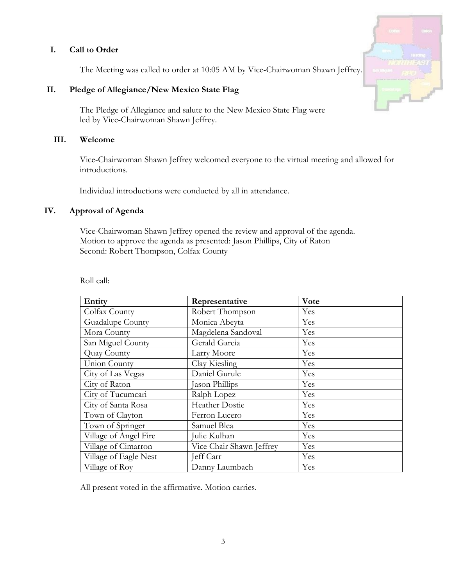## **I. Call to Order**

The Meeting was called to order at 10:05 AM by Vice-Chairwoman Shawn Jeffrey.

## **II. Pledge of Allegiance/New Mexico State Flag**

The Pledge of Allegiance and salute to the New Mexico State Flag were led by Vice-Chairwoman Shawn Jeffrey.

### **III. Welcome**

Vice-Chairwoman Shawn Jeffrey welcomed everyone to the virtual meeting and allowed for introductions.

Individual introductions were conducted by all in attendance.

### **IV. Approval of Agenda**

Vice-Chairwoman Shawn Jeffrey opened the review and approval of the agenda. Motion to approve the agenda as presented: Jason Phillips, City of Raton Second: Robert Thompson, Colfax County

| Entity                | Representative           | <b>V</b> ote |
|-----------------------|--------------------------|--------------|
| Colfax County         | Robert Thompson          | Yes          |
| Guadalupe County      | Monica Abeyta            | Yes          |
| Mora County           | Magdelena Sandoval       | Yes          |
| San Miguel County     | Gerald Garcia            | Yes          |
| Quay County           | Larry Moore              | Yes          |
| Union County          | Clay Kiesling            | Yes          |
| City of Las Vegas     | Daniel Gurule            | Yes          |
| City of Raton         | Jason Phillips           | Yes          |
| City of Tucumcari     | Ralph Lopez              | Yes          |
| City of Santa Rosa    | Heather Dostie           | Yes          |
| Town of Clayton       | Ferron Lucero            | Yes          |
| Town of Springer      | Samuel Blea              | Yes          |
| Village of Angel Fire | Julie Kulhan             | Yes          |
| Village of Cimarron   | Vice Chair Shawn Jeffrey | Yes          |
| Village of Eagle Nest | Jeff Carr                | Yes          |
| Village of Roy        | Danny Laumbach           | Yes          |

Roll call:

All present voted in the affirmative. Motion carries.

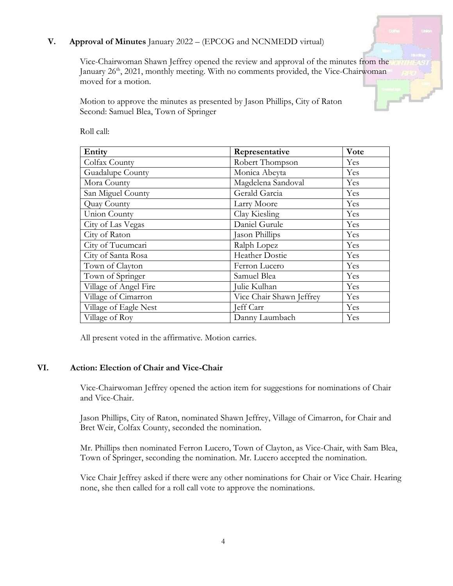## **V. Approval of Minutes** January 2022 – (EPCOG and NCNMEDD virtual)

Vice-Chairwoman Shawn Jeffrey opened the review and approval of the minutes from the January 26<sup>th</sup>, 2021, monthly meeting. With no comments provided, the Vice-Chairwoman moved for a motion.

Motion to approve the minutes as presented by Jason Phillips, City of Raton Second: Samuel Blea, Town of Springer

| Entity                | Representative           | Vote |
|-----------------------|--------------------------|------|
| Colfax County         | Robert Thompson          | Yes  |
| Guadalupe County      | Monica Abeyta            | Yes  |
| Mora County           | Magdelena Sandoval       | Yes  |
| San Miguel County     | Gerald Garcia            | Yes  |
| Quay County           | Larry Moore              | Yes  |
| Union County          | Clay Kiesling            | Yes  |
| City of Las Vegas     | Daniel Gurule            | Yes  |
| City of Raton         | Jason Phillips           | Yes  |
| City of Tucumcari     | Ralph Lopez              | Yes  |
| City of Santa Rosa    | Heather Dostie           | Yes  |
| Town of Clayton       | Ferron Lucero            | Yes  |
| Town of Springer      | Samuel Blea              | Yes  |
| Village of Angel Fire | Julie Kulhan             | Yes  |
| Village of Cimarron   | Vice Chair Shawn Jeffrey | Yes  |
| Village of Eagle Nest | Jeff Carr                | Yes  |
| Village of Roy        | Danny Laumbach           | Yes  |

Roll call:

All present voted in the affirmative. Motion carries.

### **VI. Action: Election of Chair and Vice-Chair**

Vice-Chairwoman Jeffrey opened the action item for suggestions for nominations of Chair and Vice-Chair.

Jason Phillips, City of Raton, nominated Shawn Jeffrey, Village of Cimarron, for Chair and Bret Weir, Colfax County, seconded the nomination.

Mr. Phillips then nominated Ferron Lucero, Town of Clayton, as Vice-Chair, with Sam Blea, Town of Springer, seconding the nomination. Mr. Lucero accepted the nomination.

Vice Chair Jeffrey asked if there were any other nominations for Chair or Vice Chair. Hearing none, she then called for a roll call vote to approve the nominations.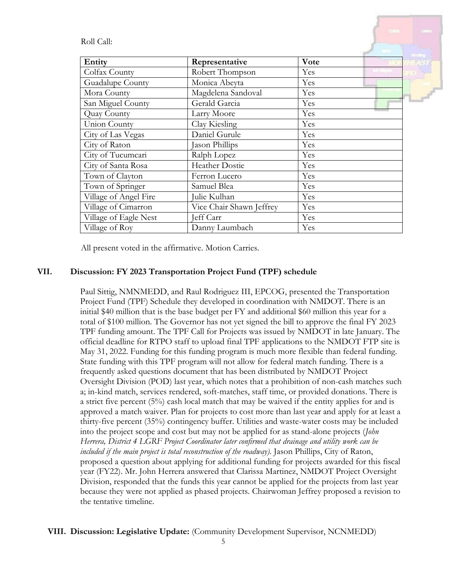Roll Call:

|                       |                          |      | Histing |
|-----------------------|--------------------------|------|---------|
| Entity                | Representative           | Vote |         |
| Colfax County         | Robert Thompson          | Yes  |         |
| Guadalupe County      | Monica Abeyta            | Yes  |         |
| Mora County           | Magdelena Sandoval       | Yes  |         |
| San Miguel County     | Gerald Garcia            | Yes  |         |
| Quay County           | Larry Moore              | Yes  |         |
| Union County          | Clay Kiesling            | Yes  |         |
| City of Las Vegas     | Daniel Gurule            | Yes  |         |
| City of Raton         | Jason Phillips           | Yes  |         |
| City of Tucumcari     | Ralph Lopez              | Yes  |         |
| City of Santa Rosa    | Heather Dostie           | Yes  |         |
| Town of Clayton       | Ferron Lucero            | Yes  |         |
| Town of Springer      | Samuel Blea              | Yes  |         |
| Village of Angel Fire | Julie Kulhan             | Yes  |         |
| Village of Cimarron   | Vice Chair Shawn Jeffrey | Yes  |         |
| Village of Eagle Nest | eff Carr                 | Yes  |         |
| Village of Roy        | Danny Laumbach           | Yes  |         |

All present voted in the affirmative. Motion Carries.

### **VII. Discussion: FY 2023 Transportation Project Fund (TPF) schedule**

Paul Sittig, NMNMEDD, and Raul Rodriguez III, EPCOG, presented the Transportation Project Fund (TPF) Schedule they developed in coordination with NMDOT. There is an initial \$40 million that is the base budget per FY and additional \$60 million this year for a total of \$100 million. The Governor has not yet signed the bill to approve the final FY 2023 TPF funding amount. The TPF Call for Projects was issued by NMDOT in late January. The official deadline for RTPO staff to upload final TPF applications to the NMDOT FTP site is May 31, 2022. Funding for this funding program is much more flexible than federal funding. State funding with this TPF program will not allow for federal match funding. There is a frequently asked questions document that has been distributed by NMDOT Project Oversight Division (POD) last year, which notes that a prohibition of non-cash matches such a; in-kind match, services rendered, soft-matches, staff time, or provided donations. There is a strict five percent (5%) cash local match that may be waived if the entity applies for and is approved a match waiver. Plan for projects to cost more than last year and apply for at least a thirty-five percent (35%) contingency buffer. Utilities and waste-water costs may be included into the project scope and cost but may not be applied for as stand-alone projects (*John Herrera, District 4 LGRF Project Coordinator later confirmed that drainage and utility work can be included if the main project is total reconstruction of the roadway)*. Jason Phillips, City of Raton, proposed a question about applying for additional funding for projects awarded for this fiscal year (FY22). Mr. John Herrera answered that Clarissa Martinez, NMDOT Project Oversight Division, responded that the funds this year cannot be applied for the projects from last year because they were not applied as phased projects. Chairwoman Jeffrey proposed a revision to the tentative timeline.

#### **VIII. Discussion: Legislative Update:** (Community Development Supervisor, NCNMEDD)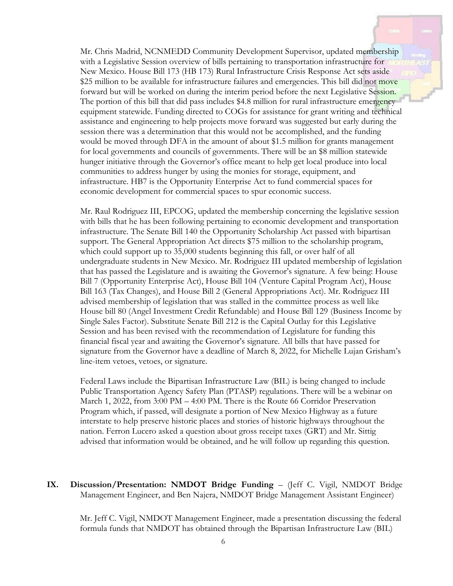Mr. Chris Madrid, NCNMEDD Community Development Supervisor, updated membership with a Legislative Session overview of bills pertaining to transportation infrastructure for New Mexico. House Bill 173 (HB 173) Rural Infrastructure Crisis Response Act sets aside \$25 million to be available for infrastructure failures and emergencies. This bill did not move forward but will be worked on during the interim period before the next Legislative Session. The portion of this bill that did pass includes \$4.8 million for rural infrastructure emergency equipment statewide. Funding directed to COGs for assistance for grant writing and technical assistance and engineering to help projects move forward was suggested but early during the session there was a determination that this would not be accomplished, and the funding would be moved through DFA in the amount of about \$1.5 million for grants management for local governments and councils of governments. There will be an \$8 million statewide hunger initiative through the Governor's office meant to help get local produce into local communities to address hunger by using the monies for storage, equipment, and infrastructure. HB7 is the Opportunity Enterprise Act to fund commercial spaces for economic development for commercial spaces to spur economic success.

Mr. Raul Rodriguez III, EPCOG, updated the membership concerning the legislative session with bills that he has been following pertaining to economic development and transportation infrastructure. The Senate Bill 140 the Opportunity Scholarship Act passed with bipartisan support. The General Appropriation Act directs \$75 million to the scholarship program, which could support up to 35,000 students beginning this fall, or over half of all undergraduate students in New Mexico. Mr. Rodriguez III updated membership of legislation that has passed the Legislature and is awaiting the Governor's signature. A few being: House Bill 7 (Opportunity Enterprise Act), House Bill 104 (Venture Capital Program Act), House Bill 163 (Tax Changes), and House Bill 2 (General Appropriations Act). Mr. Rodriguez III advised membership of legislation that was stalled in the committee process as well like House bill 80 (Angel Investment Credit Refundable) and House Bill 129 (Business Income by Single Sales Factor). Substitute Senate Bill 212 is the Capital Outlay for this Legislative Session and has been revised with the recommendation of Legislature for funding this financial fiscal year and awaiting the Governor's signature. All bills that have passed for signature from the Governor have a deadline of March 8, 2022, for Michelle Lujan Grisham's line-item vetoes, vetoes, or signature.

Federal Laws include the Bipartisan Infrastructure Law (BIL) is being changed to include Public Transportation Agency Safety Plan (PTASP) regulations. There will be a webinar on March 1, 2022, from 3:00 PM – 4:00 PM. There is the Route 66 Corridor Preservation Program which, if passed, will designate a portion of New Mexico Highway as a future interstate to help preserve historic places and stories of historic highways throughout the nation. Ferron Lucero asked a question about gross receipt taxes (GRT) and Mr. Sittig advised that information would be obtained, and he will follow up regarding this question.

**IX. Discussion/Presentation: NMDOT Bridge Funding** – (Jeff C. Vigil, NMDOT Bridge Management Engineer, and Ben Najera, NMDOT Bridge Management Assistant Engineer)

Mr. Jeff C. Vigil, NMDOT Management Engineer, made a presentation discussing the federal formula funds that NMDOT has obtained through the Bipartisan Infrastructure Law (BIL)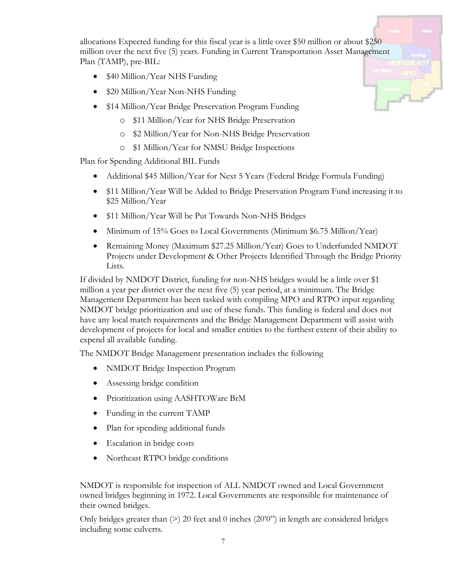allocations Expected funding for this fiscal year is a little over \$50 million or about \$250 million over the next five (5) years. Funding in Current Transportation Asset Management Plan (TAMP), pre-BIL:

- \$40 Million/Year NHS Funding
- \$20 Million/Year Non-NHS Funding
- \$14 Million/Year Bridge Preservation Program Funding
	- o \$11 Million/Year for NHS Bridge Preservation
	- o \$2 Million/Year for Non-NHS Bridge Preservation
	- o \$1 Million/Year for NMSU Bridge Inspections

Plan for Spending Additional BIL Funds

- Additional \$45 Million/Year for Next 5 Years (Federal Bridge Formula Funding)
- \$11 Million/Year Will be Added to Bridge Preservation Program Fund increasing it to \$25 Million/Year
- \$11 Million/Year Will be Put Towards Non-NHS Bridges
- Minimum of 15% Goes to Local Governments (Minimum \$6.75 Million/Year)
- Remaining Money (Maximum \$27.25 Million/Year) Goes to Underfunded NMDOT Projects under Development & Other Projects Identified Through the Bridge Priority Lists.

If divided by NMDOT District, funding for non-NHS bridges would be a little over \$1 million a year per district over the next five (5) year period, at a minimum. The Bridge Management Department has been tasked with compiling MPO and RTPO input regarding NMDOT bridge prioritization and use of these funds. This funding is federal and does not have any local match requirements and the Bridge Management Department will assist with development of projects for local and smaller entities to the furthest extent of their ability to expend all available funding.

The NMDOT Bridge Management presentation includes the following

- NMDOT Bridge Inspection Program
- Assessing bridge condition
- Prioritization using AASHTOWare BrM
- Funding in the current TAMP
- Plan for spending additional funds
- Escalation in bridge costs
- Northeast RTPO bridge conditions

NMDOT is responsible for inspection of ALL NMDOT owned and Local Government owned bridges beginning in 1972. Local Governments are responsible for maintenance of their owned bridges.

Only bridges greater than  $(>)$  20 feet and 0 inches  $(20'0'')$  in length are considered bridges including some culverts.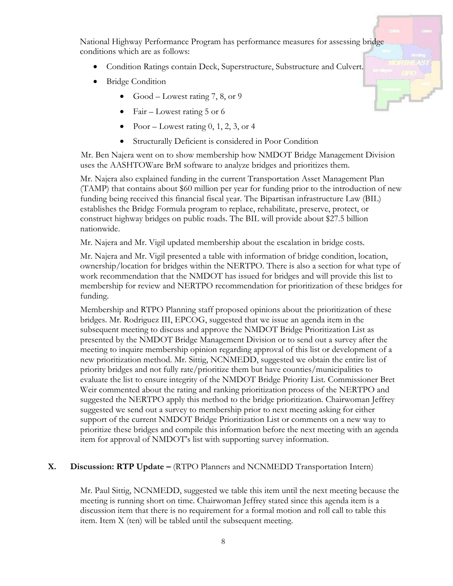National Highway Performance Program has performance measures for assessing bridge conditions which are as follows:

- Condition Ratings contain Deck, Superstructure, Substructure and Culvert.
- Bridge Condition
	- Good Lowest rating 7, 8, or 9
	- Fair Lowest rating 5 or 6
	- Poor Lowest rating  $0, 1, 2, 3$ , or 4
	- Structurally Deficient is considered in Poor Condition

Mr. Ben Najera went on to show membership how NMDOT Bridge Management Division uses the AASHTOWare BrM software to analyze bridges and prioritizes them.

Mr. Najera also explained funding in the current Transportation Asset Management Plan (TAMP) that contains about \$60 million per year for funding prior to the introduction of new funding being received this financial fiscal year. The Bipartisan infrastructure Law (BIL) establishes the Bridge Formula program to replace, rehabilitate, preserve, protect, or construct highway bridges on public roads. The BIL will provide about \$27.5 billion nationwide.

Mr. Najera and Mr. Vigil updated membership about the escalation in bridge costs.

Mr. Najera and Mr. Vigil presented a table with information of bridge condition, location, ownership/location for bridges within the NERTPO. There is also a section for what type of work recommendation that the NMDOT has issued for bridges and will provide this list to membership for review and NERTPO recommendation for prioritization of these bridges for funding.

Membership and RTPO Planning staff proposed opinions about the prioritization of these bridges. Mr. Rodriguez III, EPCOG, suggested that we issue an agenda item in the subsequent meeting to discuss and approve the NMDOT Bridge Prioritization List as presented by the NMDOT Bridge Management Division or to send out a survey after the meeting to inquire membership opinion regarding approval of this list or development of a new prioritization method. Mr. Sittig, NCNMEDD, suggested we obtain the entire list of priority bridges and not fully rate/prioritize them but have counties/municipalities to evaluate the list to ensure integrity of the NMDOT Bridge Priority List. Commissioner Bret Weir commented about the rating and ranking prioritization process of the NERTPO and suggested the NERTPO apply this method to the bridge prioritization. Chairwoman Jeffrey suggested we send out a survey to membership prior to next meeting asking for either support of the current NMDOT Bridge Prioritization List or comments on a new way to prioritize these bridges and compile this information before the next meeting with an agenda item for approval of NMDOT's list with supporting survey information.

#### **X. Discussion: RTP Update –** (RTPO Planners and NCNMEDD Transportation Intern)

Mr. Paul Sittig, NCNMEDD, suggested we table this item until the next meeting because the meeting is running short on time. Chairwoman Jeffrey stated since this agenda item is a discussion item that there is no requirement for a formal motion and roll call to table this item. Item X (ten) will be tabled until the subsequent meeting.